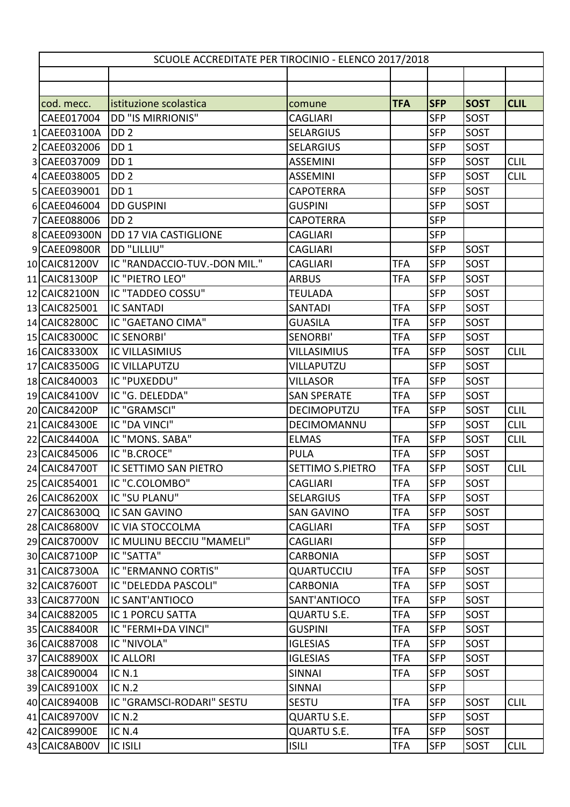| SCUOLE ACCREDITATE PER TIROCINIO - ELENCO 2017/2018 |                              |                    |            |            |             |             |  |  |
|-----------------------------------------------------|------------------------------|--------------------|------------|------------|-------------|-------------|--|--|
|                                                     |                              |                    |            |            |             |             |  |  |
|                                                     |                              |                    |            |            |             |             |  |  |
| cod. mecc.                                          | istituzione scolastica       | comune             | <b>TFA</b> | <b>SFP</b> | <b>SOST</b> | <b>CLIL</b> |  |  |
| CAEE017004                                          | <b>DD "IS MIRRIONIS"</b>     | <b>CAGLIARI</b>    |            | <b>SFP</b> | SOST        |             |  |  |
| 1 CAEE03100A                                        | DD <sub>2</sub>              | <b>SELARGIUS</b>   |            | <b>SFP</b> | SOST        |             |  |  |
| 2 CAEE032006                                        | DD <sub>1</sub>              | <b>SELARGIUS</b>   |            | <b>SFP</b> | SOST        |             |  |  |
| 3 CAEE037009                                        | DD <sub>1</sub>              | <b>ASSEMINI</b>    |            | <b>SFP</b> | SOST        | <b>CLIL</b> |  |  |
| 4 CAEE038005                                        | DD <sub>2</sub>              | <b>ASSEMINI</b>    |            | <b>SFP</b> | SOST        | <b>CLIL</b> |  |  |
| 5 CAEE039001                                        | DD <sub>1</sub>              | <b>CAPOTERRA</b>   |            | <b>SFP</b> | SOST        |             |  |  |
| 6 CAEE046004                                        | <b>DD GUSPINI</b>            | <b>GUSPINI</b>     |            | <b>SFP</b> | SOST        |             |  |  |
| 7 CAEE088006                                        | DD <sub>2</sub>              | <b>CAPOTERRA</b>   |            | <b>SFP</b> |             |             |  |  |
| 8 CAEE09300N                                        | DD 17 VIA CASTIGLIONE        | <b>CAGLIARI</b>    |            | <b>SFP</b> |             |             |  |  |
| 9 CAEE09800R                                        | DD "LILLIU"                  | <b>CAGLIARI</b>    |            | <b>SFP</b> | SOST        |             |  |  |
| 10 CAIC81200V                                       | IC "RANDACCIO-TUV.-DON MIL." | <b>CAGLIARI</b>    | <b>TFA</b> | <b>SFP</b> | SOST        |             |  |  |
| 11 CAIC81300P                                       | IC "PIETRO LEO"              | <b>ARBUS</b>       | TFA        | <b>SFP</b> | SOST        |             |  |  |
| 12 CAIC82100N                                       | IC "TADDEO COSSU"            | <b>TEULADA</b>     |            | <b>SFP</b> | SOST        |             |  |  |
| 13 CAIC825001                                       | <b>IC SANTADI</b>            | SANTADI            | TFA        | <b>SFP</b> | SOST        |             |  |  |
| 14 CAIC82800C                                       | IC "GAETANO CIMA"            | <b>GUASILA</b>     | <b>TFA</b> | <b>SFP</b> | SOST        |             |  |  |
| 15 CAIC83000C                                       | <b>IC SENORBI'</b>           | SENORBI'           | <b>TFA</b> | <b>SFP</b> | <b>SOST</b> |             |  |  |
| 16 CAIC83300X                                       | <b>IC VILLASIMIUS</b>        | VILLASIMIUS        | TFA        | <b>SFP</b> | SOST        | <b>CLIL</b> |  |  |
| 17 CAIC83500G                                       | <b>IC VILLAPUTZU</b>         | VILLAPUTZU         |            | <b>SFP</b> | SOST        |             |  |  |
| 18 CAIC840003                                       | IC "PUXEDDU"                 | <b>VILLASOR</b>    | TFA        | <b>SFP</b> | SOST        |             |  |  |
| 19 CAIC84100V                                       | IC "G. DELEDDA"              | <b>SAN SPERATE</b> | <b>TFA</b> | <b>SFP</b> | SOST        |             |  |  |
| 20 CAIC84200P                                       | IC "GRAMSCI"                 | <b>DECIMOPUTZU</b> | TFA        | <b>SFP</b> | SOST        | <b>CLIL</b> |  |  |
| 21 CAIC84300E                                       | IC "DA VINCI"                | DECIMOMANNU        |            | <b>SFP</b> | <b>SOST</b> | <b>CLIL</b> |  |  |
| 22 CAIC84400A                                       | IC "MONS. SABA"              | <b>ELMAS</b>       | <b>TFA</b> | <b>SFP</b> | SOST        | <b>CLIL</b> |  |  |
| 23 CAIC845006                                       | IC "B.CROCE"                 | <b>PULA</b>        | <b>TFA</b> | <b>SFP</b> | SOST        |             |  |  |
| 24 CAIC84700T                                       | IC SETTIMO SAN PIETRO        | SETTIMO S.PIETRO   | TFA        | <b>SFP</b> | <b>SOST</b> | <b>CLIL</b> |  |  |
| 25 CAIC854001                                       | IC "C.COLOMBO"               | CAGLIARI           | <b>TFA</b> | <b>SFP</b> | SOST        |             |  |  |
| 26 CAIC86200X                                       | IC "SU PLANU"                | <b>SELARGIUS</b>   | TFA        | <b>SFP</b> | SOST        |             |  |  |
| 27 CAIC86300Q                                       | <b>IC SAN GAVINO</b>         | <b>SAN GAVINO</b>  | <b>TFA</b> | <b>SFP</b> | SOST        |             |  |  |
| 28 CAIC86800V                                       | IC VIA STOCCOLMA             | <b>CAGLIARI</b>    | <b>TFA</b> | <b>SFP</b> | SOST        |             |  |  |
| 29 CAIC87000V                                       | IC MULINU BECCIU "MAMELI"    | <b>CAGLIARI</b>    |            | <b>SFP</b> |             |             |  |  |
| 30 CAIC87100P                                       | IC "SATTA"                   | <b>CARBONIA</b>    |            | <b>SFP</b> | SOST        |             |  |  |
| 31 CAIC87300A                                       | IC "ERMANNO CORTIS"          | <b>QUARTUCCIU</b>  | <b>TFA</b> | <b>SFP</b> | SOST        |             |  |  |
| 32 CAIC87600T                                       | IC "DELEDDA PASCOLI"         | <b>CARBONIA</b>    | <b>TFA</b> | <b>SFP</b> | <b>SOST</b> |             |  |  |
| 33 CAIC87700N                                       | IC SANT'ANTIOCO              | SANT'ANTIOCO       | TFA        | <b>SFP</b> | <b>SOST</b> |             |  |  |
| 34 CAIC882005                                       | IC 1 PORCU SATTA             | <b>QUARTU S.E.</b> | <b>TFA</b> | <b>SFP</b> | SOST        |             |  |  |
| 35 CAIC88400R                                       | IC "FERMI+DA VINCI"          | <b>GUSPINI</b>     | <b>TFA</b> | <b>SFP</b> | SOST        |             |  |  |
| 36 CAIC887008                                       | IC "NIVOLA"                  | <b>IGLESIAS</b>    | <b>TFA</b> | <b>SFP</b> | SOST        |             |  |  |
| 37 CAIC88900X                                       | <b>IC ALLORI</b>             | <b>IGLESIAS</b>    | <b>TFA</b> | <b>SFP</b> | SOST        |             |  |  |
| 38 CAIC890004                                       | <b>IC N.1</b>                | <b>SINNAI</b>      | TFA        | <b>SFP</b> | SOST        |             |  |  |
| 39 CAIC89100X                                       | <b>IC N.2</b>                | <b>SINNAI</b>      |            | <b>SFP</b> |             |             |  |  |
| 40 CAIC89400B                                       | IC "GRAMSCI-RODARI" SESTU    | <b>SESTU</b>       | <b>TFA</b> | <b>SFP</b> | SOST        | <b>CLIL</b> |  |  |
| 41 CAIC89700V                                       | <b>IC N.2</b>                | <b>QUARTU S.E.</b> |            | <b>SFP</b> | SOST        |             |  |  |
| 42 CAIC89900E                                       | <b>IC N.4</b>                | <b>QUARTU S.E.</b> | <b>TFA</b> | <b>SFP</b> | SOST        |             |  |  |
| 43 CAIC8AB00V                                       | <b>IC ISILI</b>              | <b>ISILI</b>       | <b>TFA</b> | <b>SFP</b> | SOST        | <b>CLIL</b> |  |  |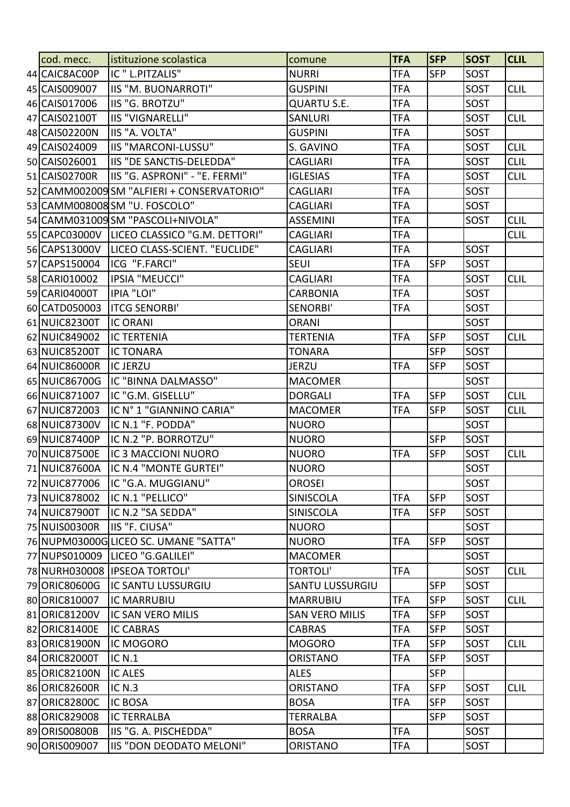| cod. mecc.    | istituzione scolastica                      | comune                 | <b>TFA</b> | <b>SFP</b> | <b>SOST</b> | <b>CLIL</b> |
|---------------|---------------------------------------------|------------------------|------------|------------|-------------|-------------|
| 44 CAIC8AC00P | IC " L.PITZALIS"                            | <b>NURRI</b>           | <b>TFA</b> | <b>SFP</b> | SOST        |             |
| 45 CAIS009007 | <b>IIS "M. BUONARROTI"</b>                  | <b>GUSPINI</b>         | <b>TFA</b> |            | SOST        | <b>CLIL</b> |
| 46 CAIS017006 | IIS "G. BROTZU"                             | <b>QUARTU S.E.</b>     | <b>TFA</b> |            | <b>SOST</b> |             |
| 47 CAIS02100T | <b>IIS "VIGNARELLI"</b>                     | <b>SANLURI</b>         | <b>TFA</b> |            | <b>SOST</b> | <b>CLIL</b> |
| 48 CAIS02200N | IIS "A. VOLTA"                              | <b>GUSPINI</b>         | <b>TFA</b> |            | <b>SOST</b> |             |
| 49 CAIS024009 | IIS "MARCONI-LUSSU"                         | S. GAVINO              | <b>TFA</b> |            | SOST        | <b>CLIL</b> |
| 50 CAIS026001 | IIS "DE SANCTIS-DELEDDA"                    | <b>CAGLIARI</b>        | <b>TFA</b> |            | SOST        | <b>CLIL</b> |
| 51 CAIS02700R | IIS "G. ASPRONI" - "E. FERMI"               | <b>IGLESIAS</b>        | <b>TFA</b> |            | <b>SOST</b> | <b>CLIL</b> |
|               | 52 CAMM002009 SM "ALFIERI + CONSERVATORIO"  | CAGLIARI               | <b>TFA</b> |            | <b>SOST</b> |             |
|               | 53 CAMM008008 SM "U. FOSCOLO"               | <b>CAGLIARI</b>        | <b>TFA</b> |            | SOST        |             |
|               | 54 CAMM031009 SM "PASCOLI+NIVOLA"           | <b>ASSEMINI</b>        | <b>TFA</b> |            | SOST        | <b>CLIL</b> |
|               | 55 CAPC03000V LICEO CLASSICO "G.M. DETTORI" | <b>CAGLIARI</b>        | <b>TFA</b> |            |             | <b>CLIL</b> |
| 56 CAPS13000V | LICEO CLASS-SCIENT. "EUCLIDE"               | <b>CAGLIARI</b>        | TFA        |            | SOST        |             |
| 57 CAPS150004 | ICG "F.FARCI"                               | <b>SEUI</b>            | <b>TFA</b> | <b>SFP</b> | <b>SOST</b> |             |
| 58 CARI010002 | <b>IPSIA "MEUCCI"</b>                       | <b>CAGLIARI</b>        | <b>TFA</b> |            | <b>SOST</b> | <b>CLIL</b> |
| 59 CARI04000T | <b>IPIA "LOI"</b>                           | <b>CARBONIA</b>        | <b>TFA</b> |            | <b>SOST</b> |             |
| 60 CATD050003 | <b>ITCG SENORBI'</b>                        | SENORBI'               | <b>TFA</b> |            | <b>SOST</b> |             |
| 61 NUIC82300T | <b>IC ORANI</b>                             | <b>ORANI</b>           |            |            | SOST        |             |
| 62 NUIC849002 | <b>IC TERTENIA</b>                          | <b>TERTENIA</b>        | <b>TFA</b> | <b>SFP</b> | SOST        | <b>CLIL</b> |
| 63 NUIC85200T | <b>IC TONARA</b>                            | <b>TONARA</b>          |            | <b>SFP</b> | SOST        |             |
| 64 NUIC86000R | <b>IC JERZU</b>                             | <b>JERZU</b>           | <b>TFA</b> | <b>SFP</b> | SOST        |             |
| 65 NUIC86700G | IC "BINNA DALMASSO"                         | <b>MACOMER</b>         |            |            | SOST        |             |
| 66 NUIC871007 | IC "G.M. GISELLU"                           | <b>DORGALI</b>         | <b>TFA</b> | <b>SFP</b> | <b>SOST</b> | <b>CLIL</b> |
| 67 NUIC872003 | IC N° 1 "GIANNINO CARIA"                    | <b>MACOMER</b>         | <b>TFA</b> | <b>SFP</b> | SOST        | <b>CLIL</b> |
| 68 NUIC87300V | IC N.1 "F. PODDA"                           | <b>NUORO</b>           |            |            | <b>SOST</b> |             |
| 69 NUIC87400P | IC N.2 "P. BORROTZU"                        | <b>NUORO</b>           |            | <b>SFP</b> | SOST        |             |
| 70 NUIC87500E | IC 3 MACCIONI NUORO                         | <b>NUORO</b>           | <b>TFA</b> | <b>SFP</b> | <b>SOST</b> | <b>CLIL</b> |
| 71 NUIC87600A | IC N.4 "MONTE GURTEI"                       | <b>NUORO</b>           |            |            | SOST        |             |
|               | 72 NUIC877006  IC "G.A. MUGGIANU"           | <b>OROSEI</b>          |            |            | SOST        |             |
| 73 NUIC878002 | IC N.1 "PELLICO"                            | <b>SINISCOLA</b>       | <b>TFA</b> | <b>SFP</b> | SOST        |             |
| 74 NUIC87900T | IC N.2 "SA SEDDA"                           | <b>SINISCOLA</b>       | <b>TFA</b> | <b>SFP</b> | SOST        |             |
| 75 NUIS00300R | IIS "F. CIUSA"                              | <b>NUORO</b>           |            |            | SOST        |             |
|               | 76 NUPM03000G LICEO SC. UMANE "SATTA"       | <b>NUORO</b>           | <b>TFA</b> | <b>SFP</b> | SOST        |             |
|               | 77 NUPS010009  LICEO "G.GALILEI"            | <b>MACOMER</b>         |            |            | SOST        |             |
|               | 78 NURH030008 IPSEOA TORTOLI'               | <b>TORTOLI'</b>        | <b>TFA</b> |            | SOST        | <b>CLIL</b> |
| 79 ORIC80600G | <b>IC SANTU LUSSURGIU</b>                   | <b>SANTU LUSSURGIU</b> |            | <b>SFP</b> | SOST        |             |
| 80 ORIC810007 | <b>IC MARRUBIU</b>                          | <b>MARRUBIU</b>        | <b>TFA</b> | <b>SFP</b> | SOST        | <b>CLIL</b> |
| 81 ORIC81200V | IC SAN VERO MILIS                           | <b>SAN VERO MILIS</b>  | <b>TFA</b> | <b>SFP</b> | SOST        |             |
| 82 ORIC81400E | <b>IC CABRAS</b>                            | <b>CABRAS</b>          | <b>TFA</b> | <b>SFP</b> | <b>SOST</b> |             |
| 83 ORIC81900N | IC MOGORO                                   | <b>MOGORO</b>          | <b>TFA</b> | <b>SFP</b> | <b>SOST</b> | <b>CLIL</b> |
| 84 ORIC82000T | <b>IC N.1</b>                               | <b>ORISTANO</b>        | <b>TFA</b> | <b>SFP</b> | SOST        |             |
| 85 ORIC82100N | <b>IC ALES</b>                              | <b>ALES</b>            |            | <b>SFP</b> |             |             |
| 86 ORIC82600R | IC N.3                                      | <b>ORISTANO</b>        | <b>TFA</b> | <b>SFP</b> | SOST        | <b>CLIL</b> |
| 87 ORIC82800C | <b>IC BOSA</b>                              | <b>BOSA</b>            | <b>TFA</b> | <b>SFP</b> | SOST        |             |
| 88 ORIC829008 | <b>IC TERRALBA</b>                          | <b>TERRALBA</b>        |            | <b>SFP</b> | SOST        |             |
| 89 ORISO0800B | IIS "G. A. PISCHEDDA"                       | <b>BOSA</b>            | <b>TFA</b> |            | SOST        |             |
| 90 ORIS009007 | IIS "DON DEODATO MELONI"                    | <b>ORISTANO</b>        | <b>TFA</b> |            | <b>SOST</b> |             |